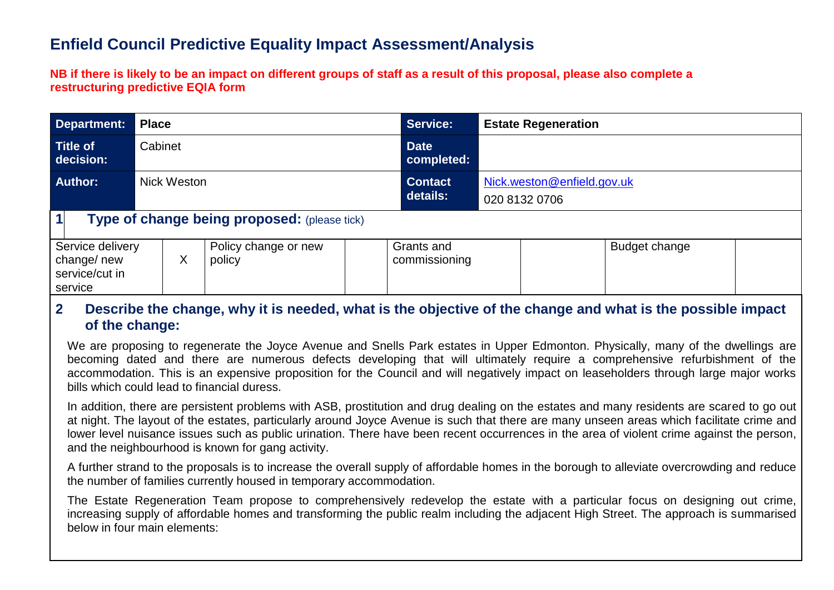# **Enfield Council Predictive Equality Impact Assessment/Analysis**

**NB if there is likely to be an impact on different groups of staff as a result of this proposal, please also complete a restructuring predictive EQIA form** 

| <b>Department:</b>                                          | <b>Place</b> |                                     |  |                             | <b>Service:</b>            | <b>Estate Regeneration</b>                  |  |  |  |  |
|-------------------------------------------------------------|--------------|-------------------------------------|--|-----------------------------|----------------------------|---------------------------------------------|--|--|--|--|
| <b>Title of</b><br>decision:                                | Cabinet      |                                     |  |                             | <b>Date</b><br>completed:  |                                             |  |  |  |  |
| <b>Author:</b>                                              | Nick Weston  |                                     |  |                             | <b>Contact</b><br>details: | Nick.weston@enfield.gov.uk<br>020 8132 0706 |  |  |  |  |
| $\mathbf 1$<br>Type of change being proposed: (please tick) |              |                                     |  |                             |                            |                                             |  |  |  |  |
| Service delivery<br>change/new<br>service/cut in<br>service |              | Policy change or new<br>Χ<br>policy |  | Grants and<br>commissioning | Budget change              |                                             |  |  |  |  |

## **2. Describe the change, why it is needed, what is the objective of the change and what is the possible impact of the change:**

We are proposing to regenerate the Joyce Avenue and Snells Park estates in Upper Edmonton. Physically, many of the dwellings are becoming dated and there are numerous defects developing that will ultimately require a comprehensive refurbishment of the accommodation. This is an expensive proposition for the Council and will negatively impact on leaseholders through large major works bills which could lead to financial duress.

In addition, there are persistent problems with ASB, prostitution and drug dealing on the estates and many residents are scared to go out at night. The layout of the estates, particularly around Joyce Avenue is such that there are many unseen areas which facilitate crime and lower level nuisance issues such as public urination. There have been recent occurrences in the area of violent crime against the person, and the neighbourhood is known for gang activity.

A further strand to the proposals is to increase the overall supply of affordable homes in the borough to alleviate overcrowding and reduce the number of families currently housed in temporary accommodation.

The Estate Regeneration Team propose to comprehensively redevelop the estate with a particular focus on designing out crime, increasing supply of affordable homes and transforming the public realm including the adjacent High Street. The approach is summarised below in four main elements: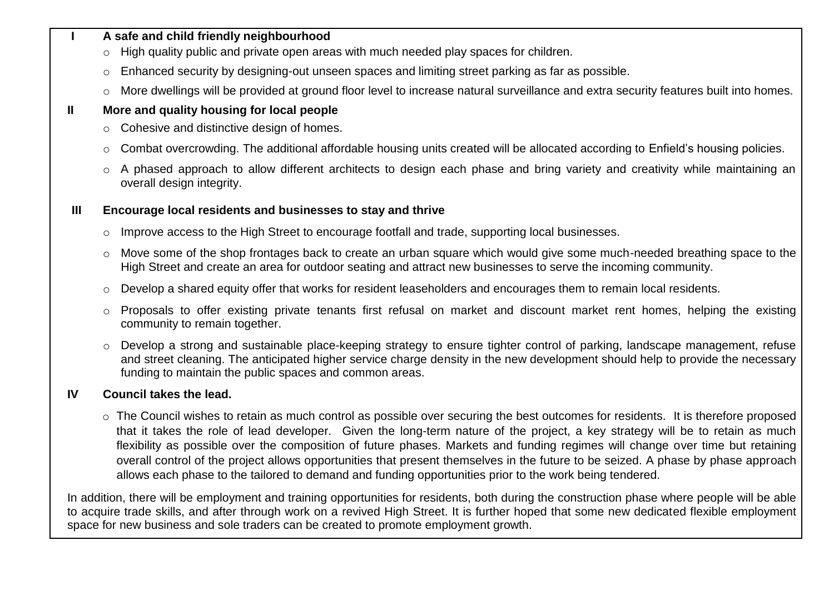#### **I A safe and child friendly neighbourhood**

- o High quality public and private open areas with much needed play spaces for children.
- $\circ$  Enhanced security by designing-out unseen spaces and limiting street parking as far as possible.
- o More dwellings will be provided at ground floor level to increase natural surveillance and extra security features built into homes.

## **II More and quality housing for local people**

- o Cohesive and distinctive design of homes.
- o Combat overcrowding. The additional affordable housing units created will be allocated according to Enfield's housing policies.
- o A phased approach to allow different architects to design each phase and bring variety and creativity while maintaining an overall design integrity.

### **III Encourage local residents and businesses to stay and thrive**

- $\circ$  Improve access to the High Street to encourage footfall and trade, supporting local businesses.
- o Move some of the shop frontages back to create an urban square which would give some much-needed breathing space to the High Street and create an area for outdoor seating and attract new businesses to serve the incoming community.
- o Develop a shared equity offer that works for resident leaseholders and encourages them to remain local residents.
- o Proposals to offer existing private tenants first refusal on market and discount market rent homes, helping the existing community to remain together.
- o Develop a strong and sustainable place-keeping strategy to ensure tighter control of parking, landscape management, refuse and street cleaning. The anticipated higher service charge density in the new development should help to provide the necessary funding to maintain the public spaces and common areas.

## **IV Council takes the lead.**

o The Council wishes to retain as much control as possible over securing the best outcomes for residents. It is therefore proposed that it takes the role of lead developer.Given the long-term nature of the project, a key strategy will be to retain as much flexibility as possible over the composition of future phases. Markets and funding regimes will change over time but retaining overall control of the project allows opportunities that present themselves in the future to be seized. A phase by phase approach allows each phase to the tailored to demand and funding opportunities prior to the work being tendered.

In addition, there will be employment and training opportunities for residents, both during the construction phase where people will be able to acquire trade skills, and after through work on a revived High Street. It is further hoped that some new dedicated flexible employment space for new business and sole traders can be created to promote employment growth.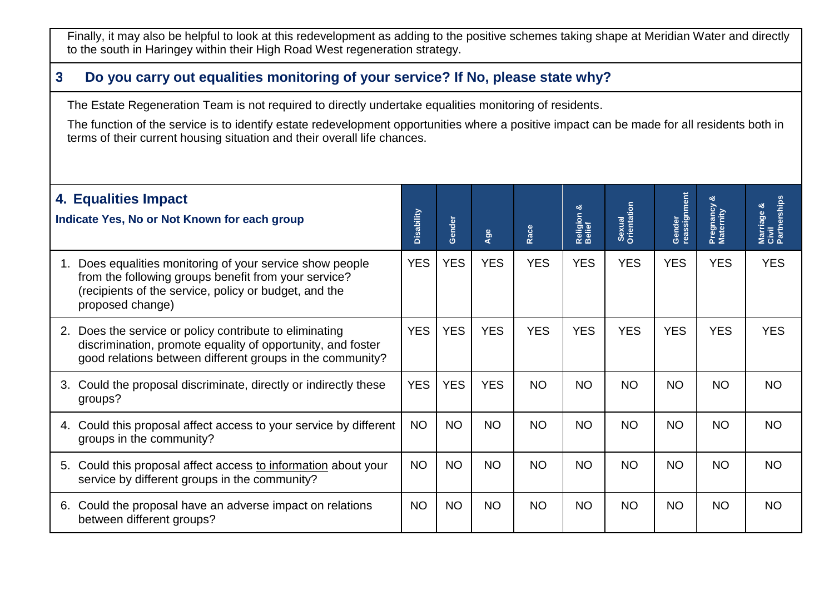Finally, it may also be helpful to look at this redevelopment as adding to the positive schemes taking shape at Meridian Water and directly to the south in Haringey within their High Road West regeneration strategy.

## **3. Do you carry out equalities monitoring of your service? If No, please state why?**

**T** The Estate Regeneration Team is not required to directly undertake equalities monitoring of residents.

The function of the service is to identify estate redevelopment opportunities where a positive impact can be made for all residents both in **e** terms of their current housing situation and their overall life chances.

| 4. Equalities Impact<br>Indicate Yes, No or Not Known for each group                                                                                                                              | Disability | Gender     | Age        | Race       | త<br>Religion<br>Belief | Sexual<br>Orientation | Gender<br>reassignment | Pregnancy<br>Maternity | Marriage &<br>Civil<br>Partnerships |
|---------------------------------------------------------------------------------------------------------------------------------------------------------------------------------------------------|------------|------------|------------|------------|-------------------------|-----------------------|------------------------|------------------------|-------------------------------------|
| Does equalities monitoring of your service show people<br>1.<br>from the following groups benefit from your service?<br>(recipients of the service, policy or budget, and the<br>proposed change) | <b>YES</b> | <b>YES</b> | <b>YES</b> | <b>YES</b> | <b>YES</b>              | <b>YES</b>            | <b>YES</b>             | <b>YES</b>             | <b>YES</b>                          |
| Does the service or policy contribute to eliminating<br>2.<br>discrimination, promote equality of opportunity, and foster<br>good relations between different groups in the community?            | <b>YES</b> | <b>YES</b> | <b>YES</b> | <b>YES</b> | <b>YES</b>              | <b>YES</b>            | <b>YES</b>             | <b>YES</b>             | <b>YES</b>                          |
| Could the proposal discriminate, directly or indirectly these<br>3.<br>groups?                                                                                                                    | <b>YES</b> | <b>YES</b> | <b>YES</b> | <b>NO</b>  | <b>NO</b>               | <b>NO</b>             | <b>NO</b>              | <b>NO</b>              | <b>NO</b>                           |
| Could this proposal affect access to your service by different<br>4.<br>groups in the community?                                                                                                  | <b>NO</b>  | <b>NO</b>  | <b>NO</b>  | <b>NO</b>  | <b>NO</b>               | <b>NO</b>             | <b>NO</b>              | <b>NO</b>              | <b>NO</b>                           |
| 5. Could this proposal affect access to information about your<br>service by different groups in the community?                                                                                   | <b>NO</b>  | <b>NO</b>  | <b>NO</b>  | <b>NO</b>  | <b>NO</b>               | <b>NO</b>             | <b>NO</b>              | <b>NO</b>              | NO.                                 |
| Could the proposal have an adverse impact on relations<br>6.<br>between different groups?                                                                                                         | <b>NO</b>  | <b>NO</b>  | <b>NO</b>  | <b>NO</b>  | <b>NO</b>               | <b>NO</b>             | <b>NO</b>              | <b>NO</b>              | <b>NO</b>                           |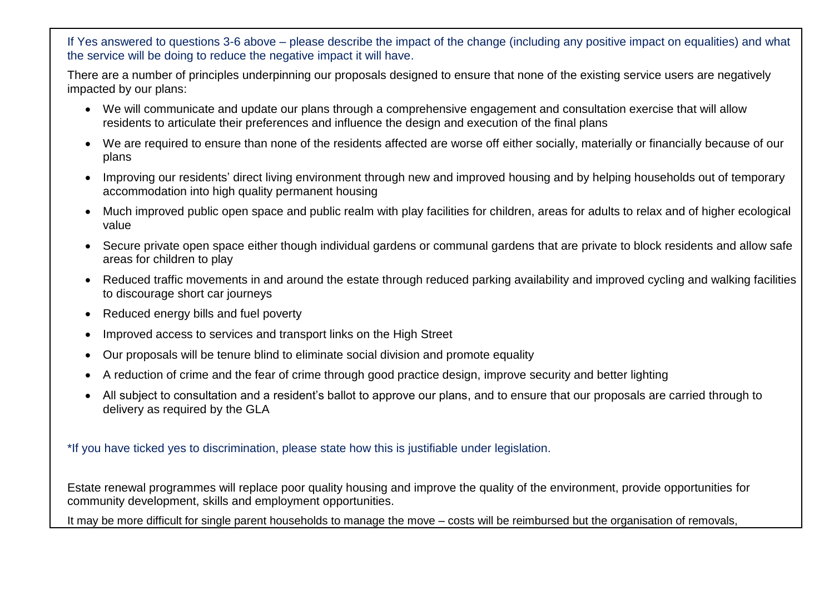If Yes answered to questions 3-6 above – please describe the impact of the change (including any positive impact on equalities) and what the service will be doing to reduce the negative impact it will have.

There are a number of principles underpinning our proposals designed to ensure that none of the existing service users are negatively impacted by our plans:

- We will communicate and update our plans through a comprehensive engagement and consultation exercise that will allow residents to articulate their preferences and influence the design and execution of the final plans
- We are required to ensure than none of the residents affected are worse off either socially, materially or financially because of our plans
- Improving our residents' direct living environment through new and improved housing and by helping households out of temporary accommodation into high quality permanent housing
- Much improved public open space and public realm with play facilities for children, areas for adults to relax and of higher ecological value
- Secure private open space either though individual gardens or communal gardens that are private to block residents and allow safe areas for children to play
- Reduced traffic movements in and around the estate through reduced parking availability and improved cycling and walking facilities to discourage short car journeys
- Reduced energy bills and fuel poverty
- Improved access to services and transport links on the High Street
- Our proposals will be tenure blind to eliminate social division and promote equality
- A reduction of crime and the fear of crime through good practice design, improve security and better lighting
- All subject to consultation and a resident's ballot to approve our plans, and to ensure that our proposals are carried through to delivery as required by the GLA

\*If you have ticked yes to discrimination, please state how this is justifiable under legislation.

Estate renewal programmes will replace poor quality housing and improve the quality of the environment, provide opportunities for community development, skills and employment opportunities.

It may be more difficult for single parent households to manage the move – costs will be reimbursed but the organisation of removals,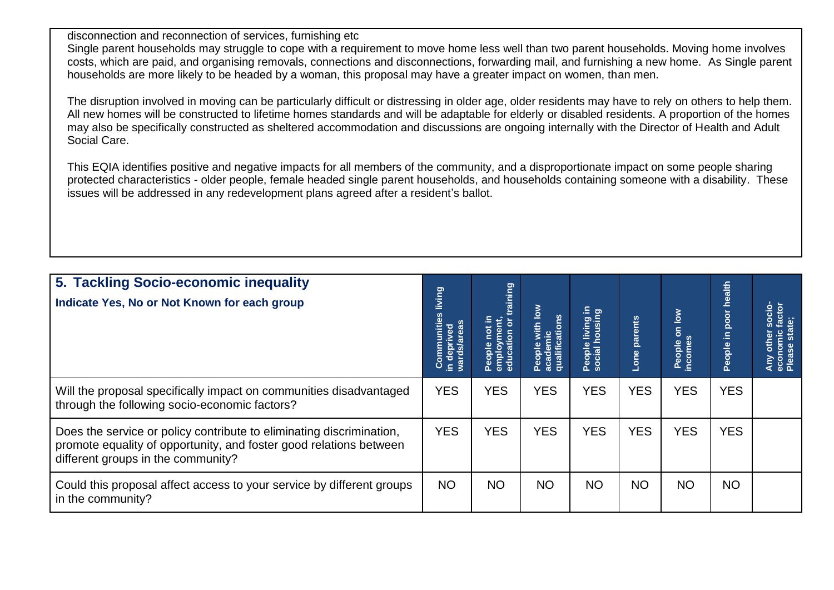disconnection and reconnection of services, furnishing etc

Single parent households may struggle to cope with a requirement to move home less well than two parent households. Moving home involves costs, which are paid, and organising removals, connections and disconnections, forwarding mail, and furnishing a new home. As Single parent households are more likely to be headed by a woman, this proposal may have a greater impact on women, than men.

The disruption involved in moving can be particularly difficult or distressing in older age, older residents may have to rely on others to help them. All new homes will be constructed to lifetime homes standards and will be adaptable for elderly or disabled residents. A proportion of the homes may also be specifically constructed as sheltered accommodation and discussions are ongoing internally with the Director of Health and Adult Social Care.

This EQIA identifies positive and negative impacts for all members of the community, and a disproportionate impact on some people sharing protected characteristics - older people, female headed single parent households, and households containing someone with a disability. These issues will be addressed in any redevelopment plans agreed after a resident's ballot.

| 5. Tackling Socio-economic inequality<br>Indicate Yes, No or Not Known for each group                                                                                            |            | aining<br>People not in<br>employment,<br>education or t | with low<br>People with lo<br>academic<br>qualifications | hiving in<br>People<br>social h | Lone parents | on low<br>People<br>ncom <u>e</u> s | health<br>poor<br>People in | socio-<br>factor<br>state;<br>Any other<br>economic<br>Please sta |
|----------------------------------------------------------------------------------------------------------------------------------------------------------------------------------|------------|----------------------------------------------------------|----------------------------------------------------------|---------------------------------|--------------|-------------------------------------|-----------------------------|-------------------------------------------------------------------|
| Will the proposal specifically impact on communities disadvantaged<br>through the following socio-economic factors?                                                              | <b>YES</b> | <b>YES</b>                                               | <b>YES</b>                                               | <b>YES</b>                      | <b>YES</b>   | <b>YES</b>                          | <b>YES</b>                  |                                                                   |
| Does the service or policy contribute to eliminating discrimination,<br>promote equality of opportunity, and foster good relations between<br>different groups in the community? | <b>YES</b> | <b>YES</b>                                               | <b>YES</b>                                               | <b>YES</b>                      | <b>YES</b>   | <b>YES</b>                          | <b>YES</b>                  |                                                                   |
| Could this proposal affect access to your service by different groups<br>in the community?                                                                                       | <b>NO</b>  | <b>NO</b>                                                | <b>NO</b>                                                | <b>NO</b>                       | <b>NO</b>    | <b>NO</b>                           | <b>NO</b>                   |                                                                   |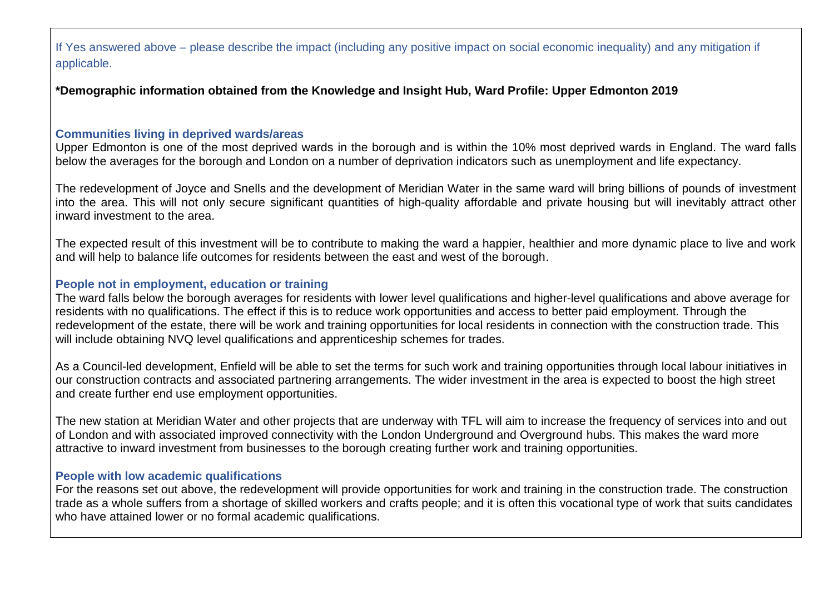If Yes answered above – please describe the impact (including any positive impact on social economic inequality) and any mitigation if applicable.

**\*Demographic information obtained from the Knowledge and Insight Hub, Ward Profile: Upper Edmonton 2019**

#### **Communities living in deprived wards/areas**

Upper Edmonton is one of the most deprived wards in the borough and is within the 10% most deprived wards in England. The ward falls below the averages for the borough and London on a number of deprivation indicators such as unemployment and life expectancy.

The redevelopment of Joyce and Snells and the development of Meridian Water in the same ward will bring billions of pounds of investment into the area. This will not only secure significant quantities of high-quality affordable and private housing but will inevitably attract other inward investment to the area.

The expected result of this investment will be to contribute to making the ward a happier, healthier and more dynamic place to live and work and will help to balance life outcomes for residents between the east and west of the borough.

#### **People not in employment, education or training**

The ward falls below the borough averages for residents with lower level qualifications and higher-level qualifications and above average for residents with no qualifications. The effect if this is to reduce work opportunities and access to better paid employment. Through the redevelopment of the estate, there will be work and training opportunities for local residents in connection with the construction trade. This will include obtaining NVQ level qualifications and apprenticeship schemes for trades.

As a Council-led development, Enfield will be able to set the terms for such work and training opportunities through local labour initiatives in our construction contracts and associated partnering arrangements. The wider investment in the area is expected to boost the high street and create further end use employment opportunities.

The new station at Meridian Water and other projects that are underway with TFL will aim to increase the frequency of services into and out of London and with associated improved connectivity with the London Underground and Overground hubs. This makes the ward more attractive to inward investment from businesses to the borough creating further work and training opportunities.

### **People with low academic qualifications**

For the reasons set out above, the redevelopment will provide opportunities for work and training in the construction trade. The construction trade as a whole suffers from a shortage of skilled workers and crafts people; and it is often this vocational type of work that suits candidates who have attained lower or no formal academic qualifications.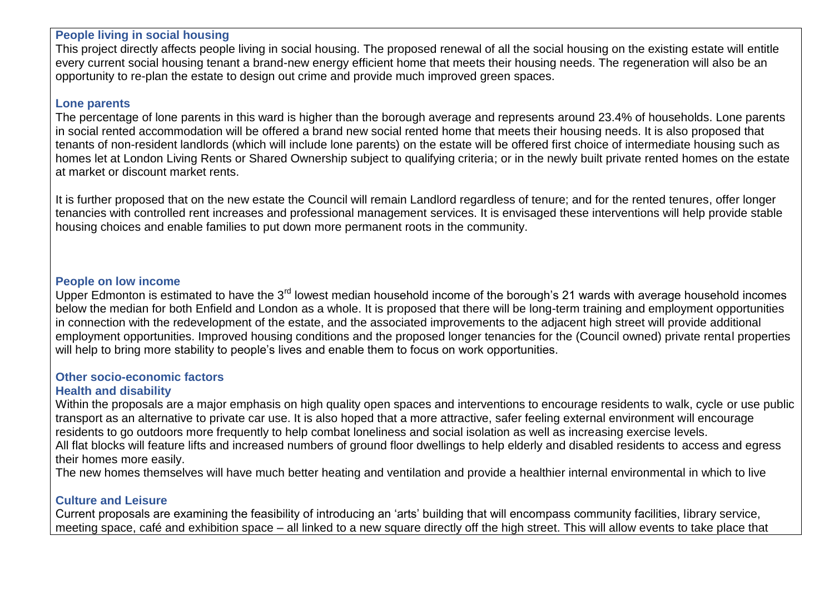#### **People living in social housing**

This project directly affects people living in social housing. The proposed renewal of all the social housing on the existing estate will entitle every current social housing tenant a brand-new energy efficient home that meets their housing needs. The regeneration will also be an opportunity to re-plan the estate to design out crime and provide much improved green spaces.

#### **Lone parents**

The percentage of lone parents in this ward is higher than the borough average and represents around 23.4% of households. Lone parents in social rented accommodation will be offered a brand new social rented home that meets their housing needs. It is also proposed that tenants of non-resident landlords (which will include lone parents) on the estate will be offered first choice of intermediate housing such as homes let at London Living Rents or Shared Ownership subject to qualifying criteria; or in the newly built private rented homes on the estate at market or discount market rents.

It is further proposed that on the new estate the Council will remain Landlord regardless of tenure; and for the rented tenures, offer longer tenancies with controlled rent increases and professional management services. It is envisaged these interventions will help provide stable housing choices and enable families to put down more permanent roots in the community.

#### **People on low income**

Upper Edmonton is estimated to have the 3<sup>rd</sup> lowest median household income of the borough's 21 wards with average household incomes below the median for both Enfield and London as a whole. It is proposed that there will be long-term training and employment opportunities in connection with the redevelopment of the estate, and the associated improvements to the adjacent high street will provide additional employment opportunities. Improved housing conditions and the proposed longer tenancies for the (Council owned) private rental properties will help to bring more stability to people's lives and enable them to focus on work opportunities.

# **Other socio-economic factors**

#### **Health and disability**

Within the proposals are a major emphasis on high quality open spaces and interventions to encourage residents to walk, cycle or use public transport as an alternative to private car use. It is also hoped that a more attractive, safer feeling external environment will encourage residents to go outdoors more frequently to help combat loneliness and social isolation as well as increasing exercise levels. All flat blocks will feature lifts and increased numbers of ground floor dwellings to help elderly and disabled residents to access and egress their homes more easily.

The new homes themselves will have much better heating and ventilation and provide a healthier internal environmental in which to live

### **Culture and Leisure**

Current proposals are examining the feasibility of introducing an 'arts' building that will encompass community facilities, library service, meeting space, café and exhibition space – all linked to a new square directly off the high street. This will allow events to take place that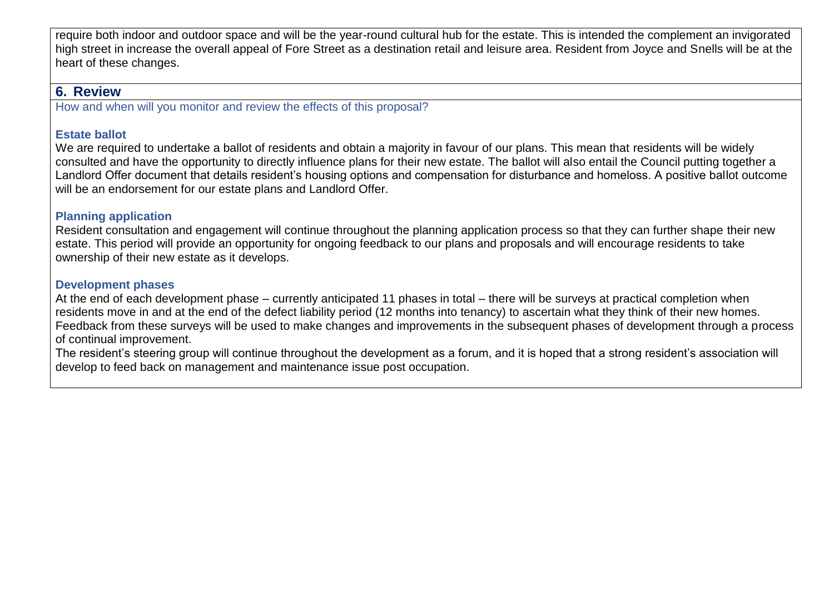require both indoor and outdoor space and will be the year-round cultural hub for the estate. This is intended the complement an invigorated high street in increase the overall appeal of Fore Street as a destination retail and leisure area. Resident from Joyce and Snells will be at the heart of these changes.

## **6. Review**

How and when will you monitor and review the effects of this proposal?

## **Estate ballot**

We are required to undertake a ballot of residents and obtain a majority in favour of our plans. This mean that residents will be widely consulted and have the opportunity to directly influence plans for their new estate. The ballot will also entail the Council putting together a Landlord Offer document that details resident's housing options and compensation for disturbance and homeloss. A positive ballot outcome will be an endorsement for our estate plans and Landlord Offer.

## **Planning application**

Resident consultation and engagement will continue throughout the planning application process so that they can further shape their new estate. This period will provide an opportunity for ongoing feedback to our plans and proposals and will encourage residents to take ownership of their new estate as it develops.

## **Development phases**

At the end of each development phase – currently anticipated 11 phases in total – there will be surveys at practical completion when residents move in and at the end of the defect liability period (12 months into tenancy) to ascertain what they think of their new homes. Feedback from these surveys will be used to make changes and improvements in the subsequent phases of development through a process of continual improvement.

The resident's steering group will continue throughout the development as a forum, and it is hoped that a strong resident's association will develop to feed back on management and maintenance issue post occupation.